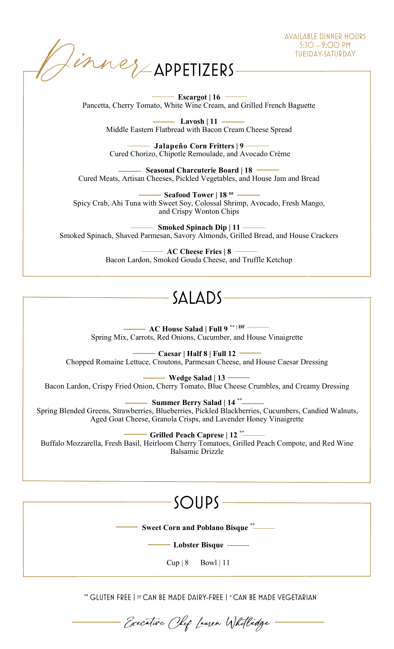Jinnez APPETIZERS

*AVAILABLE DINNER HOURS*  $5:3O - 9:OO PM$ TUESDAY-SATURDAY

**Escargot | 16**  Pancetta, Cherry Tomato, White Wine Cream, and Grilled French Baguette

 $-$  Lavosh | 11  $-$ Middle Eastern Flatbread with Bacon Cream Cheese Spread

**Jalapeño Corn Fritters | 9** Cured Chorizo, Chipotle Remoulade, and Avocado Crème

**Seasonal Charcuterie Board | 18**  Cured Meats, Artisan Cheeses, Pickled Vegetables, and House Jam and Bread

 $-$  Seafood Tower | 18  $^{\text{DF}}$   $-$ Spicy Crab, Ahi Tuna with Sweet Soy, Colossal Shrimp, Avocado, Fresh Mango, and Crispy Wonton Chips

**Smoked Spinach Dip | 11** Smoked Spinach, Shaved Parmesan, Savory Almonds, Grilled Bread, and House Crackers

> **AC Cheese Fries | 8** Bacon Lardon, Smoked Gouda Cheese, and Truffle Ketchup

## SALADS-

**AC House Salad | Full 9 \*\* | DF** Spring Mix, Carrots, Red Onions, Cucumber, and House Vinaigrette

**Caesar | Half 8 | Full 12** Chopped Romaine Lettuce, Croutons, Parmesan Cheese, and House Caesar Dressing

**Wedge Salad | 13** Bacon Lardon, Crispy Fried Onion, Cherry Tomato, Blue Cheese Crumbles, and Creamy Dressing

**Summer Berry Salad | 14 \*\*** Spring Blended Greens, Strawberries, Blueberries, Pickled Blackberries, Cucumbers, Candied Walnuts, Aged Goat Cheese, Granola Crisps, and Lavender Honey Vinaigrette

**Grilled Peach Caprese | 12 \*\*** Buffalo Mozzarella, Fresh Basil, Heirloom Cherry Tomatoes, Grilled Peach Compote, and Red Wine Balsamic Drizzle

# $SQUPS$  —

**Sweet Corn and Poblano Bisque \*\***

**Lobster Bisque**

 $Cup | 8$  Bowl | 11

\*\* GLUTEN FREE | DF CAN BE MADE DAIRY-FREE | + CAN BE MADE VEGETARIAN

Executive Chef Lauren Whitledge